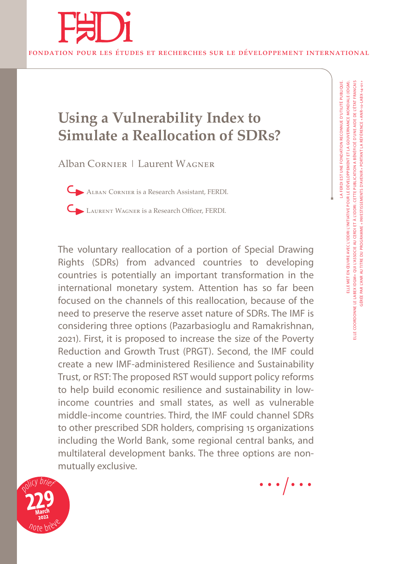

# **Using a Vulnerability Index to Simulate a Reallocation of SDRs?**

Alban Cornier | Laurent Wagner

Alban Cornier is a Research Assistant, FERDI.

Laurent Wagner is a Research Officer, FERDI.

The voluntary reallocation of a portion of Special Drawing Rights (SDRs) from advanced countries to developing countries is potentially an important transformation in the international monetary system. Attention has so far been focused on the channels of this reallocation, because of the need to preserve the reserve asset nature of SDRs. The IMF is considering three options (Pazarbasioglu and Ramakrishnan, 2021). First, it is proposed to increase the size of the Poverty Reduction and Growth Trust (PRGT). Second, the IMF could create a new IMF-administered Resilience and Sustainability Trust, or RST: The proposed RST would support policy reforms to help build economic resilience and sustainability in lowincome countries and small states, as well as vulnerable middle-income countries. Third, the IMF could channel SDRs to other prescribed SDR holders, comprising 15 organizations including the World Bank, some regional central banks, and multilateral development banks. The three options are nonmutually exclusive.



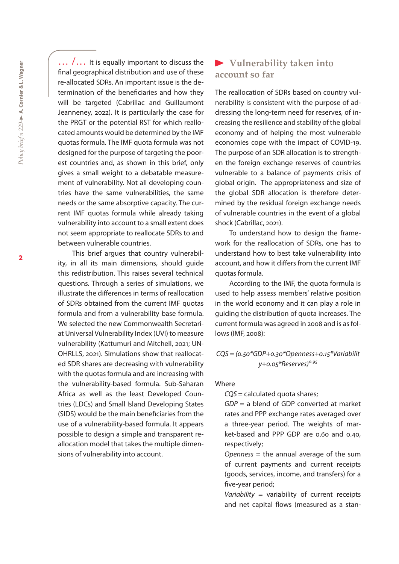... /... It is equally important to discuss the final geographical distribution and use of these re-allocated SDRs. An important issue is the determination of the beneficiaries and how they will be targeted (Cabrillac and Guillaumont Jeanneney, 2022). It is particularly the case for the PRGT or the potential RST for which reallocated amounts would be determined by the IMF quotas formula. The IMF quota formula was not designed for the purpose of targeting the poorest countries and, as shown in this brief, only gives a small weight to a debatable measurement of vulnerability. Not all developing countries have the same vulnerabilities, the same needs or the same absorptive capacity. The current IMF quotas formula while already taking vulnerability into account to a small extent does not seem appropriate to reallocate SDRs to and between vulnerable countries.

This brief argues that country vulnerability, in all its main dimensions, should guide this redistribution. This raises several technical questions. Through a series of simulations, we illustrate the differences in terms of reallocation of SDRs obtained from the current IMF quotas formula and from a vulnerability base formula. We selected the new Commonwealth Secretariat Universal Vulnerability Index (UVI) to measure vulnerability (Kattumuri and Mitchell, 2021; UN-OHRLLS, 2021). Simulations show that reallocated SDR shares are decreasing with vulnerability with the quotas formula and are increasing with the vulnerability-based formula. Sub-Saharan Africa as well as the least Developed Countries (LDCs) and Small Island Developing States (SIDS) would be the main beneficiaries from the use of a vulnerability-based formula. It appears possible to design a simple and transparent reallocation model that takes the multiple dimensions of vulnerability into account.

## **Vulnerability taken into account so far**

The reallocation of SDRs based on country vulnerability is consistent with the purpose of addressing the long-term need for reserves, of increasing the resilience and stability of the global economy and of helping the most vulnerable economies cope with the impact of COVID-19. The purpose of an SDR allocation is to strengthen the foreign exchange reserves of countries vulnerable to a balance of payments crisis of global origin. The appropriateness and size of the global SDR allocation is therefore determined by the residual foreign exchange needs of vulnerable countries in the event of a global shock (Cabrillac, 2021).

To understand how to design the framework for the reallocation of SDRs, one has to understand how to best take vulnerability into account, and how it differs from the current IMF quotas formula.

According to the IMF, the quota formula is used to help assess members' relative position in the world economy and it can play a role in guiding the distribution of quota increases. The current formula was agreed in 2008 and is as follows (IMF, 2008):

*CQS = (0.50\*GDP+0.30\*Openness+0.15\*Variabilit y+0.05\*Reserves)0.95*

#### Where

*CQS* = calculated quota shares;

*GDP* = a blend of GDP converted at market rates and PPP exchange rates averaged over a three-year period. The weights of market-based and PPP GDP are 0.60 and 0.40, respectively;

*Openness* = the annual average of the sum of current payments and current receipts (goods, services, income, and transfers) for a five-year period;

*Variability* = variability of current receipts and net capital flows (measured as a stan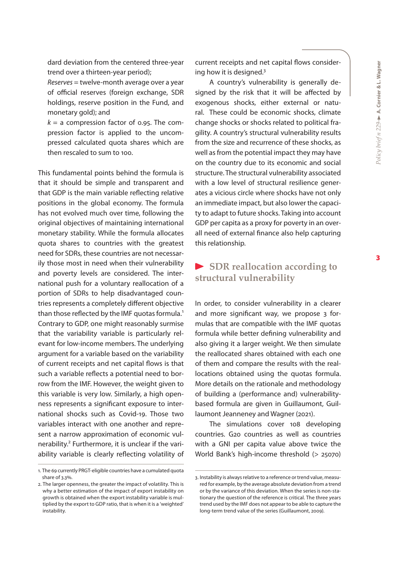dard deviation from the centered three-year trend over a thirteen-year period);

*Reserves* = twelve-month average over a year of official reserves (foreign exchange, SDR holdings, reserve position in the Fund, and monetary gold); and

 $k = a$  compression factor of 0.95. The compression factor is applied to the uncompressed calculated quota shares which are then rescaled to sum to 100.

This fundamental points behind the formula is that it should be simple and transparent and that GDP is the main variable reflecting relative positions in the global economy. The formula has not evolved much over time, following the original objectives of maintaining international monetary stability. While the formula allocates quota shares to countries with the greatest need for SDRs, these countries are not necessarily those most in need when their vulnerability and poverty levels are considered. The international push for a voluntary reallocation of a portion of SDRs to help disadvantaged countries represents a completely different objective than those reflected by the IMF quotas formula.<sup>1</sup> Contrary to GDP, one might reasonably surmise that the variability variable is particularly relevant for low-income members. The underlying argument for a variable based on the variability of current receipts and net capital flows is that such a variable reflects a potential need to borrow from the IMF. However, the weight given to this variable is very low. Similarly, a high openness represents a significant exposure to international shocks such as Covid-19. Those two variables interact with one another and represent a narrow approximation of economic vulnerability.<sup>2</sup> Furthermore, it is unclear if the variability variable is clearly reflecting volatility of current receipts and net capital flows considering how it is designed. $3$ 

A country's vulnerability is generally designed by the risk that it will be affected by exogenous shocks, either external or natural. These could be economic shocks, climate change shocks or shocks related to political fragility. A country's structural vulnerability results from the size and recurrence of these shocks, as well as from the potential impact they may have on the country due to its economic and social structure. The structural vulnerability associated with a low level of structural resilience generates a vicious circle where shocks have not only an immediate impact, but also lower the capacity to adapt to future shocks. Taking into account GDP per capita as a proxy for poverty in an overall need of external finance also help capturing this relationship.

# **SDR reallocation according to structural vulnerability**

In order, to consider vulnerability in a clearer and more significant way, we propose 3 formulas that are compatible with the IMF quotas formula while better defining vulnerability and also giving it a larger weight. We then simulate the reallocated shares obtained with each one of them and compare the results with the reallocations obtained using the quotas formula. More details on the rationale and methodology of building a (performance and) vulnerabilitybased formula are given in Guillaumont, Guillaumont Jeanneney and Wagner (2021).

The simulations cover 108 developing countries. G20 countries as well as countries with a GNI per capita value above twice the World Bank's high-income threshold (> 25070)

<sup>1.</sup> The 69 currently PRGT-eligible countries have a cumulated quota share of 3.3%.

<sup>2.</sup> The larger openness, the greater the impact of volatility. This is why a better estimation of the impact of export instability on growth is obtained when the export instability variable is multiplied by the export to GDP ratio, that is when it is a 'weighted' instability.

<sup>3.</sup> Instability is always relative to a reference or trend value, measured for example, by the average absolute deviation from a trend or by the variance of this deviation. When the series is non-stationary the question of the reference is critical. The three years trend used by the IMF does not appear to be able to capture the long-term trend value of the series (Guillaumont, 2009).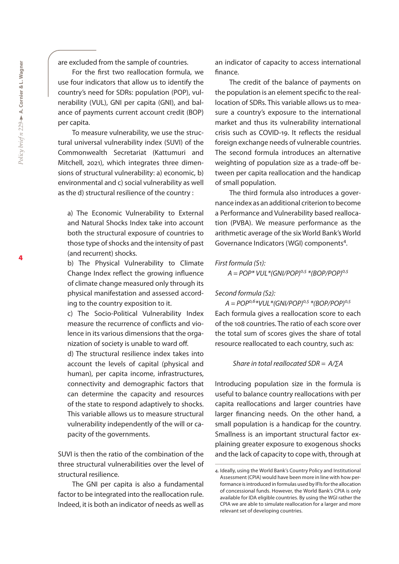are excluded from the sample of countries.

For the first two reallocation formula, we use four indicators that allow us to identify the country's need for SDRs: population (POP), vulnerability (VUL), GNI per capita (GNI), and balance of payments current account credit (BOP) per capita.

To measure vulnerability, we use the structural universal vulnerability index (SUVI) of the Commonwealth Secretariat (Kattumuri and Mitchell, 2021), which integrates three dimensions of structural vulnerability: a) economic, b) environmental and c) social vulnerability as well as the d) structural resilience of the country :

a) The Economic Vulnerability to External and Natural Shocks Index take into account both the structural exposure of countries to those type of shocks and the intensity of past (and recurrent) shocks.

b) The Physical Vulnerability to Climate Change Index reflect the growing influence of climate change measured only through its physical manifestation and assessed according to the country exposition to it.

c) The Socio-Political Vulnerability Index measure the recurrence of conflicts and violence in its various dimensions that the organization of society is unable to ward off.

d) The structural resilience index takes into account the levels of capital (physical and human), per capita income, infrastructures, connectivity and demographic factors that can determine the capacity and resources of the state to respond adaptively to shocks. This variable allows us to measure structural vulnerability independently of the will or capacity of the governments.

SUVI is then the ratio of the combination of the three structural vulnerabilities over the level of structural resilience.

The GNI per capita is also a fundamental factor to be integrated into the reallocation rule. Indeed, it is both an indicator of needs as well as an indicator of capacity to access international finance.

The credit of the balance of payments on the population is an element specific to the reallocation of SDRs. This variable allows us to measure a country's exposure to the international market and thus its vulnerability international crisis such as COVID-19. It reflects the residual foreign exchange needs of vulnerable countries. The second formula introduces an alternative weighting of population size as a trade-off between per capita reallocation and the handicap of small population.

The third formula also introduces a governance index as an additional criterion to become a Performance and Vulnerability based reallocation (PVBA). We measure performance as the arithmetic average of the six World Bank's World Governance Indicators (WGI) components<sup>4</sup>.

*First formula (S1): A = POP\* VUL\*(GNI/POP)0,5 \*(BOP/POP)0,5*

#### *Second formula (S2):*

*A = POP0,6\*VUL\*(GNI/POP)0,5 \*(BOP/POP)0,5*  Each formula gives a reallocation score to each of the 108 countries. The ratio of each score over the total sum of scores gives the share of total resource reallocated to each country, such as:

#### *Share in total reallocated SDR = A/∑A*

Introducing population size in the formula is useful to balance country reallocations with per capita reallocations and larger countries have larger financing needs. On the other hand, a small population is a handicap for the country. Smallness is an important structural factor explaining greater exposure to exogenous shocks and the lack of capacity to cope with, through at

<sup>4.</sup> Ideally, using the World Bank's Country Policy and Institutional Assessment (CPIA) would have been more in line with how performance is introduced in formulas used by IFIs for the allocation of concessional funds. However, the World Bank's CPIA is only available for IDA eligible countries. By using the WGI rather the CPIA we are able to simulate reallocation for a larger and more relevant set of developing countries.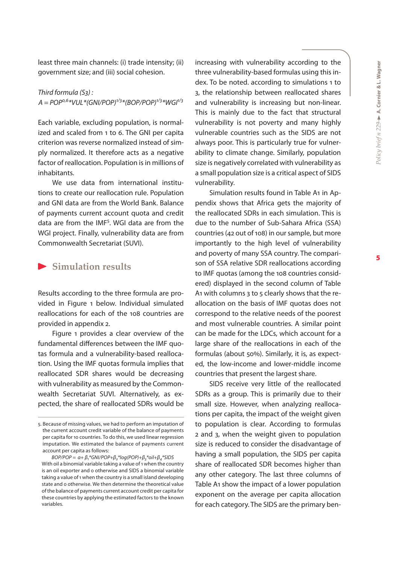least three main channels: (i) trade intensity; (ii) government size; and (iii) social cohesion.

#### *Third formula (S3) :*  $A = POP^{0.6*}VUL*(GNI/POP)^{1/3*}(BOP/POP)^{1/3*}WGI^{1/3}$

Each variable, excluding population, is normalized and scaled from 1 to 6. The GNI per capita criterion was reverse normalized instead of simply normalized. It therefore acts as a negative factor of reallocation. Population is in millions of inhabitants.

We use data from international institutions to create our reallocation rule. Population and GNI data are from the World Bank. Balance of payments current account quota and credit data are from the IMF<sup>5</sup>. WGI data are from the WGI project. Finally, vulnerability data are from Commonwealth Secretariat (SUVI).

#### **Simulation results**

Results according to the three formula are provided in Figure 1 below. Individual simulated reallocations for each of the 108 countries are provided in appendix 2.

Figure 1 provides a clear overview of the fundamental differences between the IMF quotas formula and a vulnerability-based reallocation. Using the IMF quotas formula implies that reallocated SDR shares would be decreasing with vulnerability as measured by the Commonwealth Secretariat SUVI. Alternatively, as expected, the share of reallocated SDRs would be increasing with vulnerability according to the three vulnerability-based formulas using this index. To be noted. according to simulations 1 to 3, the relationship between reallocated shares and vulnerability is increasing but non-linear. This is mainly due to the fact that structural vulnerability is not poverty and many highly vulnerable countries such as the SIDS are not always poor. This is particularly true for vulnerability to climate change. Similarly, population size is negatively correlated with vulnerability as a small population size is a critical aspect of SIDS vulnerability.

Simulation results found in Table A1 in Appendix shows that Africa gets the majority of the reallocated SDRs in each simulation. This is due to the number of Sub-Sahara Africa (SSA) countries (42 out of 108) in our sample, but more importantly to the high level of vulnerability and poverty of many SSA country. The comparison of SSA relative SDR reallocations according to IMF quotas (among the 108 countries considered) displayed in the second column of Table A1 with columns 3 to 5 clearly shows that the reallocation on the basis of IMF quotas does not correspond to the relative needs of the poorest and most vulnerable countries. A similar point can be made for the LDCs, which account for a large share of the reallocations in each of the formulas (about 50%). Similarly, it is, as expected, the low-income and lower-middle income countries that present the largest share.

SIDS receive very little of the reallocated SDRs as a group. This is primarily due to their small size. However, when analyzing reallocations per capita, the impact of the weight given to population is clear. According to formulas 2 and 3, when the weight given to population size is reduced to consider the disadvantage of having a small population, the SIDS per capita share of reallocated SDR becomes higher than any other category. The last three columns of Table A1 show the impact of a lower population exponent on the average per capita allocation for each category. The SIDS are the primary ben-

<sup>5.</sup> Because of missing values, we had to perform an imputation of the current account credit variable of the balance of payments per capita for 10 countries. To do this, we used linear regression imputation. We estimated the balance of payments current account per capita as follows:

 $BOP/POP = \alpha + \beta_1^*$ GNI/POP+ $\beta_2^*$ log(POP)+ $\beta_3^*$ oil+ $\beta_4^*$ SIDS With oil a binomial variable taking a value of 1 when the country is an oil exporter and 0 otherwise and SIDS a binomial variable taking a value of 1 when the country is a small island developing state and 0 otherwise. We then determine the theoretical value of the balance of payments current account credit per capita for these countries by applying the estimated factors to the known variables.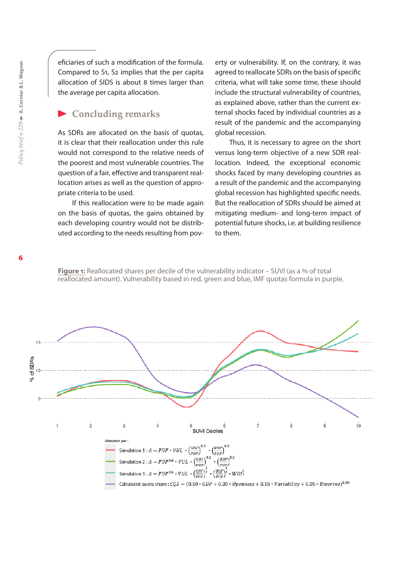eficiaries of such a modification of the formula. Compared to S1, S2 implies that the per capita allocation of SIDS is about 8 times larger than the average per capita allocation.

### **Concluding remarks**

As SDRs are allocated on the basis of quotas, it is clear that their reallocation under this rule would not correspond to the relative needs of the poorest and most vulnerable countries. The question of a fair, effective and transparent reallocation arises as well as the question of appropriate criteria to be used.

If this reallocation were to be made again on the basis of quotas, the gains obtained by each developing country would not be distributed according to the needs resulting from poverty or vulnerability. If, on the contrary, it was agreed to reallocate SDRs on the basis of specific criteria, what will take some time, these should include the structural vulnerability of countries, as explained above, rather than the current external shocks faced by individual countries as a result of the pandemic and the accompanying global recession.

Thus, it is necessary to agree on the short versus long-term objective of a new SDR reallocation. Indeed, the exceptional economic shocks faced by many developing countries as a result of the pandemic and the accompanying global recession has highlighted specific needs. But the reallocation of SDRs should be aimed at mitigating medium- and long-term impact of potential future shocks, i.e. at building resilience to them.

**Figure 1:** Reallocated shares per decile of the vulnerability indicator - SUVI (as a % of total reallocated amount). Vulnerability based in red, green and blue, IMF quotas formula in purple.

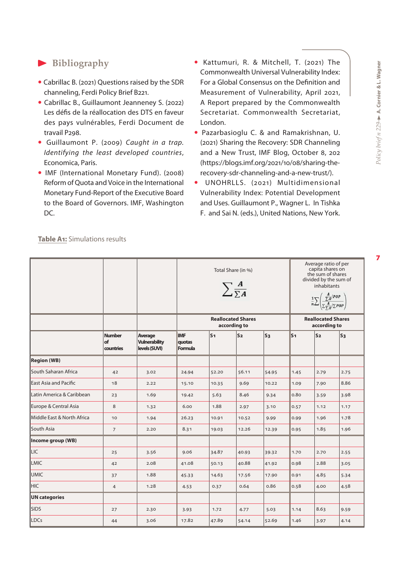# **Bibliography**

- Cabrillac B. (2021) Questions raised by the SDR channeling, Ferdi Policy Brief B221.
- Cabrillac B., Guillaumont Jeanneney S. (2022) Les défis de la réallocation des DTS en faveur des pays vulnérables, Ferdi Document de travail P298.
- Guillaumont P. (2009) *Caught in a trap. Identifying the least developed countries*, Economica, Paris.
- IMF (International Monetary Fund). (2008) Reform of Quota and Voice in the International Monetary Fund-Report of the Executive Board to the Board of Governors. IMF, Washington DC.
- Kattumuri, R. & Mitchell, T. (2021) The Commonwealth Universal Vulnerability Index: For a Global Consensus on the Definition and Measurement of Vulnerability, April 2021, A Report prepared by the Commonwealth Secretariat. Commonwealth Secretariat, London.
- Pazarbasioglu C. & and Ramakrishnan, U. (2021) Sharing the Recovery: SDR Channeling and a New Trust, IMF Blog, October 8, 202 (https://blogs.imf.org/2021/10/08/sharing-therecovery-sdr-channeling-and-a-new-trust/).
- UNOHRLLS. (2021) Multidimensional Vulnerability Index: Potential Development and Uses. Guillaumont P., Wagner L. In Tishka F. and Sai N. (eds.), United Nations, New York.

|                             |                                  |                                                  | Total Share (in %)<br>$\sum_{\sum A}$     |       |                |         | Average ratio of per<br>capita shares on<br>the sum of shares<br>divided by the sum of<br>inhabitants<br>$\frac{1}{n}\sum \left(\frac{\frac{A}{\sum A}/POP}{\sum \frac{A}{\sum A}/\sum POP}\right)$ |                |                |
|-----------------------------|----------------------------------|--------------------------------------------------|-------------------------------------------|-------|----------------|---------|-----------------------------------------------------------------------------------------------------------------------------------------------------------------------------------------------------|----------------|----------------|
|                             |                                  |                                                  | <b>Reallocated Shares</b><br>according to |       |                |         | <b>Reallocated Shares</b><br>according to                                                                                                                                                           |                |                |
|                             | <b>Number</b><br>of<br>countries | Average<br><b>Vulnerability</b><br>levels (SUVI) | <b>IMF</b><br>quotas<br>Formula           | S1    | S <sub>2</sub> | $ s_3 $ | lS1                                                                                                                                                                                                 | S <sub>2</sub> | $\mathsf{S}_3$ |
| <b>Region</b> (WB)          |                                  |                                                  |                                           |       |                |         |                                                                                                                                                                                                     |                |                |
| <b>South Saharan Africa</b> | 42                               | 3.02                                             | 24.94                                     | 52.20 | 56.11          | 54.95   | 1.45                                                                                                                                                                                                | 2.79           | 2.75           |
| East Asia and Pacific       | 18                               | 2.22                                             | 15.10                                     | 10.35 | 9.69           | 10.22   | 1.09                                                                                                                                                                                                | 7.90           | 8.86           |
| Latin America & Caribbean   | 23                               | 1.69                                             | 19.42                                     | 5.63  | 8.46           | 9.34    | 0.80                                                                                                                                                                                                | 3.59           | 3.98           |
| Europe & Central Asia       | 8                                | 1.32                                             | 6.00                                      | 1.88  | 2.97           | 3.10    | 0.57                                                                                                                                                                                                | 1.12           | 1.17           |
| Middle East & North Africa  | 10                               | 1.94                                             | 26.23                                     | 10.91 | 10.52          | 9.99    | 0.99                                                                                                                                                                                                | 1.96           | 1.78           |
| South Asia                  | $\overline{7}$                   | 2.20                                             | 8.31                                      | 19.03 | 12.26          | 12.39   | 0.95                                                                                                                                                                                                | 1.85           | 1.96           |
| Income group (WB)           |                                  |                                                  |                                           |       |                |         |                                                                                                                                                                                                     |                |                |
| LIC                         | 25                               | 3.56                                             | 9.06                                      | 34.87 | 40.93          | 39.32   | 1.70                                                                                                                                                                                                | 2.70           | 2.55           |
| <b>LMIC</b>                 | 42                               | 2.08                                             | 41.08                                     | 50.13 | 40.88          | 41.92   | 0.98                                                                                                                                                                                                | 2.88           | 3.05           |
| <b>UMIC</b>                 | 37                               | 1.88                                             | 45.33                                     | 14.63 | 17.56          | 17.90   | 0.91                                                                                                                                                                                                | 4.85           | 5.34           |
| <b>HIC</b>                  | $\overline{4}$                   | 1.28                                             | 4.53                                      | 0.37  | 0.64           | 0.86    | 0.58                                                                                                                                                                                                | 4.00           | 4.58           |
| <b>UN</b> categories        |                                  |                                                  |                                           |       |                |         |                                                                                                                                                                                                     |                |                |
| <b>SIDS</b>                 | 27                               | 2.30                                             | 3.93                                      | 1.72  | 4.77           | 5.03    | 1.14                                                                                                                                                                                                | 8.63           | 9.59           |
| LDCs                        | 44                               | 3.06                                             | 17.82                                     | 47.89 | 54.14          | 52.69   | 1.46                                                                                                                                                                                                | 3.97           | 4.14           |

**Table A1:** Simulations results